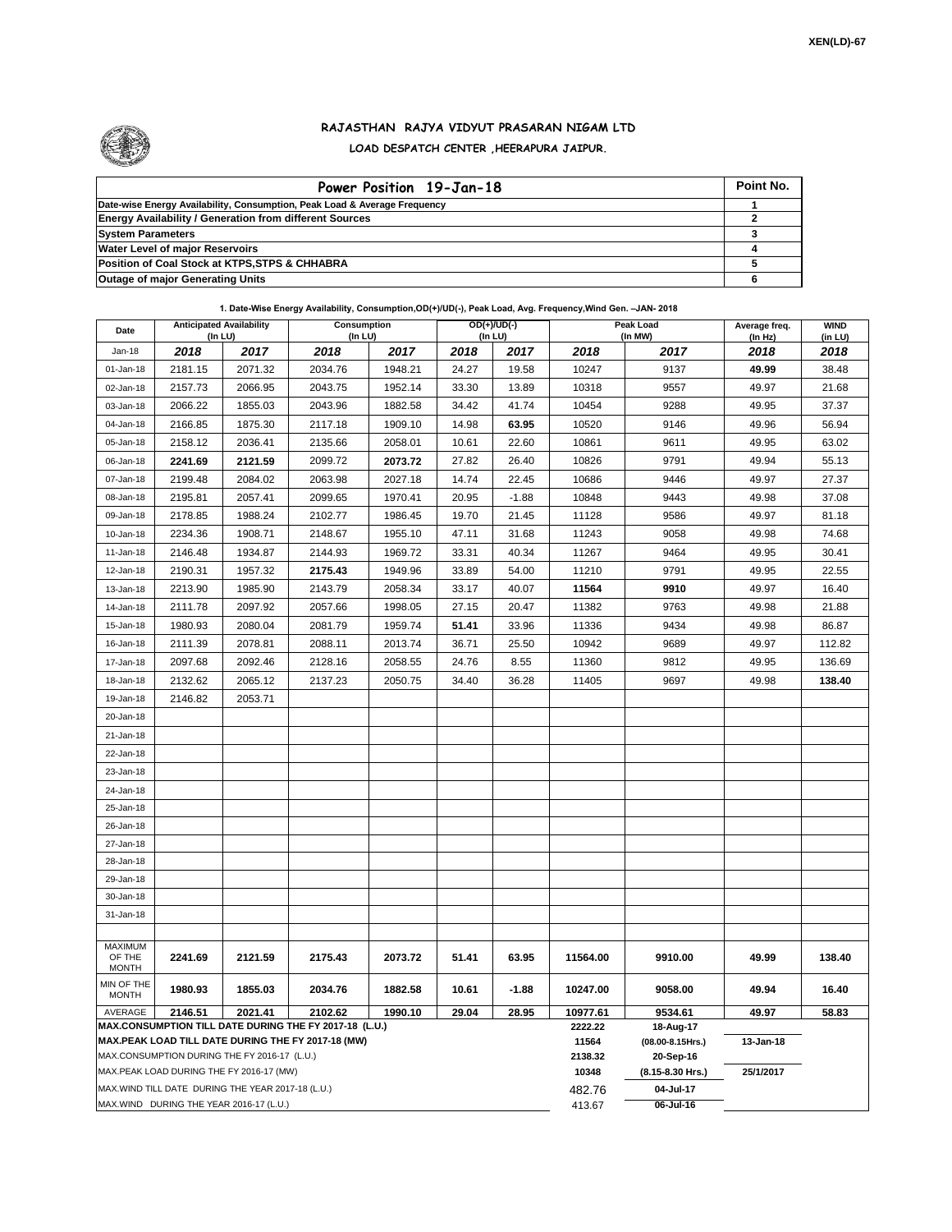

## **RAJASTHAN RAJYA VIDYUT PRASARAN NIGAM LTD LOAD DESPATCH CENTER ,HEERAPURA JAIPUR.**

| Power Position 19-Jan-18                                                  | Point No. |
|---------------------------------------------------------------------------|-----------|
| Date-wise Energy Availability, Consumption, Peak Load & Average Frequency |           |
| <b>Energy Availability / Generation from different Sources</b>            |           |
| <b>System Parameters</b>                                                  |           |
| <b>Water Level of major Reservoirs</b>                                    |           |
| Position of Coal Stock at KTPS, STPS & CHHABRA                            |           |
| <b>Outage of major Generating Units</b>                                   |           |

## **1. Date-Wise Energy Availability, Consumption,OD(+)/UD(-), Peak Load, Avg. Frequency,Wind Gen. –JAN- 2018**

| Date                                                                                                         | <b>Anticipated Availability</b><br>$($ In LU $)$ |         | Consumption<br>(In LU) |         | $OD(+)/UD(-)$<br>(In LU) |         |                  | Peak Load<br>(In MW)          | Average freq.<br>(In Hz) | <b>WIND</b><br>(in LU) |
|--------------------------------------------------------------------------------------------------------------|--------------------------------------------------|---------|------------------------|---------|--------------------------|---------|------------------|-------------------------------|--------------------------|------------------------|
| $Jan-18$                                                                                                     | 2018                                             | 2017    | 2018                   | 2017    | 2018                     | 2017    | 2018             | 2017                          | 2018                     | 2018                   |
| 01-Jan-18                                                                                                    | 2181.15                                          | 2071.32 | 2034.76                | 1948.21 | 24.27                    | 19.58   | 10247            | 9137                          | 49.99                    | 38.48                  |
| 02-Jan-18                                                                                                    | 2157.73                                          | 2066.95 | 2043.75                | 1952.14 | 33.30                    | 13.89   | 10318            | 9557                          | 49.97                    | 21.68                  |
| 03-Jan-18                                                                                                    | 2066.22                                          | 1855.03 | 2043.96                | 1882.58 | 34.42                    | 41.74   | 10454            | 9288                          | 49.95                    | 37.37                  |
| 04-Jan-18                                                                                                    | 2166.85                                          | 1875.30 | 2117.18                | 1909.10 | 14.98                    | 63.95   | 10520            | 9146                          | 49.96                    | 56.94                  |
| 05-Jan-18                                                                                                    | 2158.12                                          | 2036.41 | 2135.66                | 2058.01 | 10.61                    | 22.60   | 10861            | 9611                          | 49.95                    | 63.02                  |
| 06-Jan-18                                                                                                    | 2241.69                                          | 2121.59 | 2099.72                | 2073.72 | 27.82                    | 26.40   | 10826            | 9791                          | 49.94                    | 55.13                  |
| 07-Jan-18                                                                                                    | 2199.48                                          | 2084.02 | 2063.98                | 2027.18 | 14.74                    | 22.45   | 10686            | 9446                          | 49.97                    | 27.37                  |
| 08-Jan-18                                                                                                    | 2195.81                                          | 2057.41 | 2099.65                | 1970.41 | 20.95                    | $-1.88$ | 10848            | 9443                          | 49.98                    | 37.08                  |
| 09-Jan-18                                                                                                    | 2178.85                                          | 1988.24 | 2102.77                | 1986.45 | 19.70                    | 21.45   | 11128            | 9586                          | 49.97                    | 81.18                  |
| 10-Jan-18                                                                                                    | 2234.36                                          | 1908.71 | 2148.67                | 1955.10 | 47.11                    | 31.68   | 11243            | 9058                          | 49.98                    | 74.68                  |
| 11-Jan-18                                                                                                    | 2146.48                                          | 1934.87 | 2144.93                | 1969.72 | 33.31                    | 40.34   | 11267            | 9464                          | 49.95                    | 30.41                  |
| 12-Jan-18                                                                                                    | 2190.31                                          | 1957.32 | 2175.43                | 1949.96 | 33.89                    | 54.00   | 11210            | 9791                          | 49.95                    | 22.55                  |
| 13-Jan-18                                                                                                    | 2213.90                                          | 1985.90 | 2143.79                | 2058.34 | 33.17                    | 40.07   | 11564            | 9910                          | 49.97                    | 16.40                  |
| 14-Jan-18                                                                                                    | 2111.78                                          | 2097.92 | 2057.66                | 1998.05 | 27.15                    | 20.47   | 11382            | 9763                          | 49.98                    | 21.88                  |
| 15-Jan-18                                                                                                    | 1980.93                                          | 2080.04 | 2081.79                | 1959.74 | 51.41                    | 33.96   | 11336            | 9434                          | 49.98                    | 86.87                  |
| 16-Jan-18                                                                                                    | 2111.39                                          | 2078.81 | 2088.11                | 2013.74 | 36.71                    | 25.50   | 10942            | 9689                          | 49.97                    | 112.82                 |
| 17-Jan-18                                                                                                    | 2097.68                                          | 2092.46 | 2128.16                | 2058.55 | 24.76                    | 8.55    | 11360            | 9812                          | 49.95                    | 136.69                 |
| 18-Jan-18                                                                                                    | 2132.62                                          | 2065.12 | 2137.23                | 2050.75 | 34.40                    | 36.28   | 11405            | 9697                          | 49.98                    | 138.40                 |
| 19-Jan-18                                                                                                    | 2146.82                                          | 2053.71 |                        |         |                          |         |                  |                               |                          |                        |
| 20-Jan-18                                                                                                    |                                                  |         |                        |         |                          |         |                  |                               |                          |                        |
| 21-Jan-18                                                                                                    |                                                  |         |                        |         |                          |         |                  |                               |                          |                        |
| 22-Jan-18                                                                                                    |                                                  |         |                        |         |                          |         |                  |                               |                          |                        |
| 23-Jan-18                                                                                                    |                                                  |         |                        |         |                          |         |                  |                               |                          |                        |
| 24-Jan-18                                                                                                    |                                                  |         |                        |         |                          |         |                  |                               |                          |                        |
| 25-Jan-18                                                                                                    |                                                  |         |                        |         |                          |         |                  |                               |                          |                        |
| 26-Jan-18                                                                                                    |                                                  |         |                        |         |                          |         |                  |                               |                          |                        |
| 27-Jan-18                                                                                                    |                                                  |         |                        |         |                          |         |                  |                               |                          |                        |
| 28-Jan-18                                                                                                    |                                                  |         |                        |         |                          |         |                  |                               |                          |                        |
| 29-Jan-18                                                                                                    |                                                  |         |                        |         |                          |         |                  |                               |                          |                        |
| 30-Jan-18                                                                                                    |                                                  |         |                        |         |                          |         |                  |                               |                          |                        |
| 31-Jan-18                                                                                                    |                                                  |         |                        |         |                          |         |                  |                               |                          |                        |
| <b>MAXIMUM</b>                                                                                               |                                                  |         |                        |         |                          |         |                  |                               |                          |                        |
| OF THE<br><b>MONTH</b>                                                                                       | 2241.69                                          | 2121.59 | 2175.43                | 2073.72 | 51.41                    | 63.95   | 11564.00         | 9910.00                       | 49.99                    | 138.40                 |
| MIN OF THE<br><b>MONTH</b>                                                                                   | 1980.93                                          | 1855.03 | 2034.76                | 1882.58 | 10.61                    | $-1.88$ | 10247.00         | 9058.00                       | 49.94                    | 16.40                  |
| AVERAGE<br>2021.41<br>2146.51<br>2102.62<br>1990.10<br>29.04<br>28.95                                        |                                                  |         |                        |         |                          |         | 10977.61         | 9534.61                       | 49.97                    | 58.83                  |
| MAX.CONSUMPTION TILL DATE DURING THE FY 2017-18 (L.U.)<br>MAX.PEAK LOAD TILL DATE DURING THE FY 2017-18 (MW) |                                                  |         |                        |         |                          |         | 2222.22<br>11564 | 18-Aug-17<br>(08.00-8.15Hrs.) | 13-Jan-18                |                        |
| MAX.CONSUMPTION DURING THE FY 2016-17 (L.U.)                                                                 |                                                  |         |                        |         |                          |         | 2138.32          | 20-Sep-16                     |                          |                        |
| MAX.PEAK LOAD DURING THE FY 2016-17 (MW)                                                                     |                                                  |         |                        |         |                          |         | 10348            | (8.15-8.30 Hrs.)              | 25/1/2017                |                        |
| MAX.WIND TILL DATE DURING THE YEAR 2017-18 (L.U.)                                                            |                                                  |         |                        |         |                          |         | 482.76           | 04-Jul-17                     |                          |                        |
| MAX.WIND DURING THE YEAR 2016-17 (L.U.)                                                                      |                                                  |         |                        |         |                          |         | 413.67           | 06-Jul-16                     |                          |                        |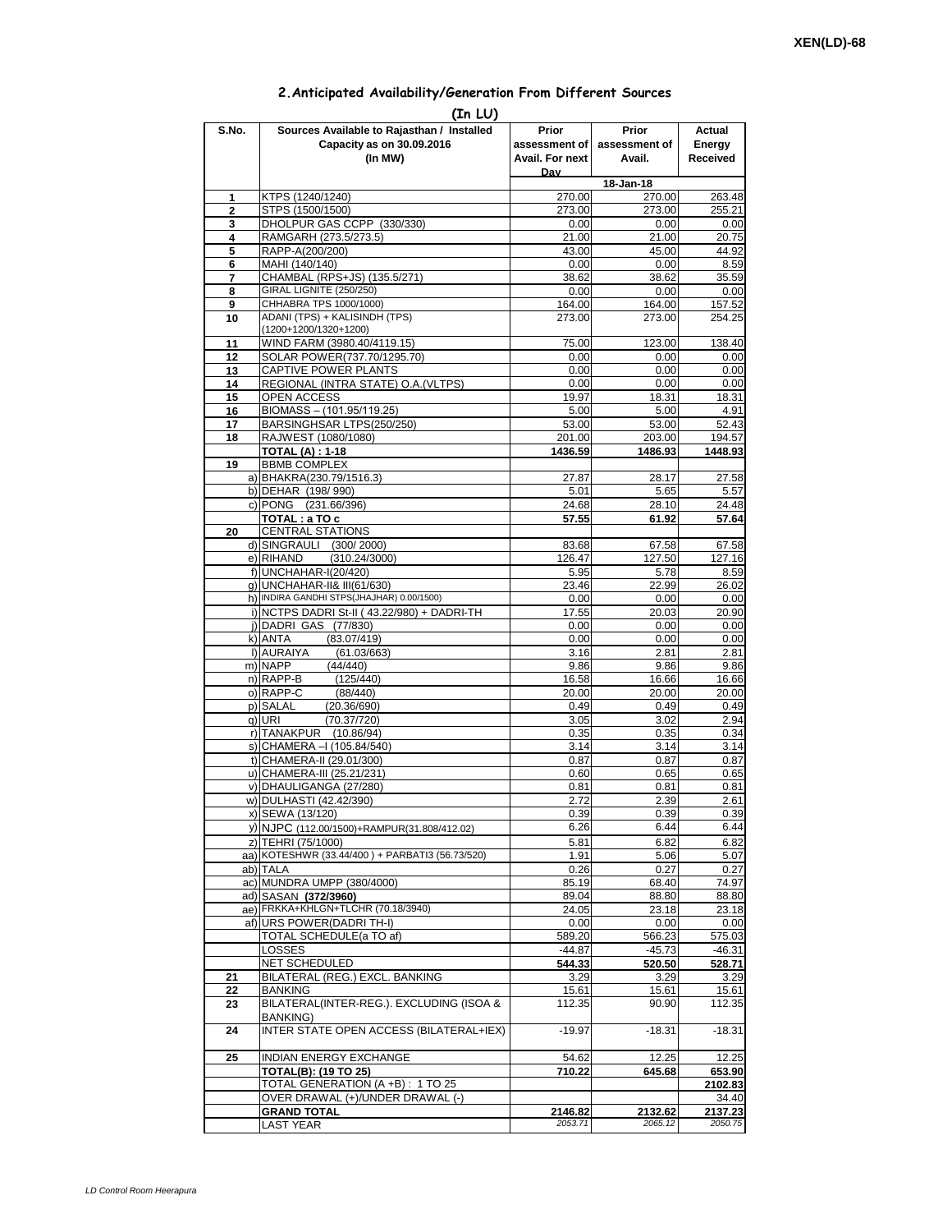## **2.Anticipated Availability/Generation From Different Sources**

| (In LU)        |                                                                                    |                                                  |                                  |                              |  |  |  |  |  |
|----------------|------------------------------------------------------------------------------------|--------------------------------------------------|----------------------------------|------------------------------|--|--|--|--|--|
| S.No.          | Sources Available to Rajasthan / Installed<br>Capacity as on 30.09.2016<br>(In MW) | Prior<br>assessment of<br>Avail. For next<br>Dav | Prior<br>assessment of<br>Avail. | Actual<br>Energy<br>Received |  |  |  |  |  |
|                |                                                                                    |                                                  | 18-Jan-18                        |                              |  |  |  |  |  |
| 1              | KTPS (1240/1240)                                                                   | 270.00                                           | 270.00                           | 263.48                       |  |  |  |  |  |
| $\overline{2}$ | STPS (1500/1500)                                                                   | 273.00                                           | 273.00                           | 255.21                       |  |  |  |  |  |
| 3              | DHOLPUR GAS CCPP (330/330)                                                         | 0.00                                             | 0.00                             | 0.00                         |  |  |  |  |  |
| 4<br>5         | RAMGARH (273.5/273.5)<br>RAPP-A(200/200)                                           | 21.00<br>43.00                                   | 21.00<br>45.00                   | 20.75<br>44.92               |  |  |  |  |  |
| 6              | MAHI (140/140)                                                                     | 0.00                                             | 0.00                             | 8.59                         |  |  |  |  |  |
| 7              | CHAMBAL (RPS+JS) (135.5/271)                                                       | 38.62                                            | 38.62                            | 35.59                        |  |  |  |  |  |
| 8              | GIRAL LIGNITE (250/250)                                                            | 0.00                                             | 0.00                             | 0.00                         |  |  |  |  |  |
| 9              | CHHABRA TPS 1000/1000)                                                             | 164.00                                           | 164.00                           | 157.52                       |  |  |  |  |  |
| 10             | ADANI (TPS) + KALISINDH (TPS)<br>(1200+1200/1320+1200)                             | 273.00                                           | 273.00                           | 254.25                       |  |  |  |  |  |
| 11             | WIND FARM (3980.40/4119.15)                                                        | 75.00                                            | 123.00                           | 138.40                       |  |  |  |  |  |
| 12             | SOLAR POWER(737.70/1295.70)                                                        | 0.00                                             | 0.00                             | 0.00                         |  |  |  |  |  |
| 13             | CAPTIVE POWER PLANTS                                                               | 0.00<br>0.00                                     | 0.00                             | 0.00                         |  |  |  |  |  |
| 14<br>15       | REGIONAL (INTRA STATE) O.A. (VLTPS)<br>OPEN ACCESS                                 | 19.97                                            | 0.00<br>18.31                    | 0.00<br>18.31                |  |  |  |  |  |
| 16             | BIOMASS - (101.95/119.25)                                                          | 5.00                                             | 5.00                             | 4.91                         |  |  |  |  |  |
| 17             | BARSINGHSAR LTPS(250/250)                                                          | 53.00                                            | 53.00                            | 52.43                        |  |  |  |  |  |
| 18             | RAJWEST (1080/1080)                                                                | 201.00                                           | 203.00                           | 194.57                       |  |  |  |  |  |
|                | <b>TOTAL (A): 1-18</b>                                                             | 1436.59                                          | 1486.93                          | 1448.93                      |  |  |  |  |  |
| 19             | <b>BBMB COMPLEX</b>                                                                |                                                  |                                  |                              |  |  |  |  |  |
|                | a) BHAKRA(230.79/1516.3)<br>b) DEHAR (198/990)                                     | 27.87<br>5.01                                    | 28.17<br>5.65                    | 27.58<br>5.57                |  |  |  |  |  |
|                | c) PONG (231.66/396)                                                               | 24.68                                            | 28.10                            | 24.48                        |  |  |  |  |  |
|                | TOTAL : a TO c                                                                     | 57.55                                            | 61.92                            | 57.64                        |  |  |  |  |  |
| 20             | <b>CENTRAL STATIONS</b>                                                            |                                                  |                                  |                              |  |  |  |  |  |
|                | d) SINGRAULI (300/2000)                                                            | 83.68                                            | 67.58                            | 67.58                        |  |  |  |  |  |
|                | e) RIHAND<br>(310.24/3000)                                                         | 126.47                                           | 127.50                           | 127.16                       |  |  |  |  |  |
|                | f) UNCHAHAR-I(20/420)                                                              | 5.95                                             | 5.78                             | 8.59                         |  |  |  |  |  |
|                | q) UNCHAHAR-II& III(61/630)<br>h) INDIRA GANDHI STPS(JHAJHAR) 0.00/1500)           | 23.46<br>0.00                                    | 22.99<br>0.00                    | 26.02<br>0.00                |  |  |  |  |  |
|                | i) NCTPS DADRI St-II (43.22/980) + DADRI-TH                                        | 17.55                                            | 20.03                            | 20.90                        |  |  |  |  |  |
|                | i) DADRI GAS (77/830)                                                              | 0.00                                             | 0.00                             | 0.00                         |  |  |  |  |  |
|                | k) ANTA<br>(83.07/419)                                                             | 0.00                                             | 0.00                             | 0.00                         |  |  |  |  |  |
|                | I) AURAIYA<br>(61.03/663)                                                          | 3.16                                             | 2.81                             | 2.81                         |  |  |  |  |  |
|                | m) NAPP<br>(44/440)<br>n) RAPP-B<br>(125/440)                                      | 9.86<br>16.58                                    | 9.86<br>16.66                    | 9.86<br>16.66                |  |  |  |  |  |
|                | o) RAPP-C<br>(88/440)                                                              | 20.00                                            | 20.00                            | 20.00                        |  |  |  |  |  |
|                | p) SALAL<br>(20.36/690)                                                            | 0.49                                             | 0.49                             | 0.49                         |  |  |  |  |  |
|                | q) URI<br>(70.37/720)                                                              | 3.05                                             | 3.02                             | 2.94                         |  |  |  |  |  |
|                | r) TANAKPUR (10.86/94)                                                             | 0.35                                             | 0.35                             | 0.34                         |  |  |  |  |  |
|                | s) CHAMERA - (105.84/540)                                                          | 3.14                                             | 3.14                             | 3.14                         |  |  |  |  |  |
|                | t) CHAMERA-II (29.01/300)<br>u) CHAMERA-III (25.21/231)                            | 0.87<br>0.60                                     | 0.87<br>0.65                     | 0.87<br>0.65                 |  |  |  |  |  |
|                | v) DHAULIGANGA (27/280)                                                            | 0.81                                             | 0.81                             | 0.81                         |  |  |  |  |  |
|                | w) DULHASTI (42.42/390)                                                            | 2.72                                             | 2.39                             | 2.61                         |  |  |  |  |  |
|                | x) SEWA (13/120)                                                                   | 0.39                                             | 0.39                             | 0.39                         |  |  |  |  |  |
|                | y) NJPC (112.00/1500)+RAMPUR(31.808/412.02)                                        | 6.26                                             | 6.44                             | 6.44                         |  |  |  |  |  |
|                | z) TEHRI (75/1000)                                                                 | 5.81                                             | 6.82                             | 6.82                         |  |  |  |  |  |
|                | aa) KOTESHWR (33.44/400) + PARBATI3 (56.73/520)                                    | 1.91                                             | 5.06                             | 5.07                         |  |  |  |  |  |
|                | ab) TALA<br>ac) MUNDRA UMPP (380/4000)                                             | 0.26<br>85.19                                    | 0.27<br>68.40                    | 0.27<br>74.97                |  |  |  |  |  |
|                | ad) SASAN (372/3960)                                                               | 89.04                                            | 88.80                            | 88.80                        |  |  |  |  |  |
|                | ae) FRKKA+KHLGN+TLCHR (70.18/3940)                                                 | 24.05                                            | 23.18                            | 23.18                        |  |  |  |  |  |
|                | af) URS POWER(DADRITH-I)                                                           | 0.00                                             | 0.00                             | 0.00                         |  |  |  |  |  |
|                | TOTAL SCHEDULE(a TO af)                                                            | 589.20                                           | 566.23                           | 575.03                       |  |  |  |  |  |
|                | LOSSES                                                                             | $-44.87$                                         | $-45.73$                         | $-46.31$                     |  |  |  |  |  |
| 21             | <b>NET SCHEDULED</b><br>BILATERAL (REG.) EXCL. BANKING                             | 544.33<br>3.29                                   | 520.50<br>3.29                   | 528.71<br>3.29               |  |  |  |  |  |
| 22             | BANKING                                                                            | 15.61                                            | 15.61                            | 15.61                        |  |  |  |  |  |
| 23             | BILATERAL(INTER-REG.). EXCLUDING (ISOA &<br>BANKING)                               | 112.35                                           | 90.90                            | 112.35                       |  |  |  |  |  |
| 24             | INTER STATE OPEN ACCESS (BILATERAL+IEX)                                            | $-19.97$                                         | $-18.31$                         | $-18.31$                     |  |  |  |  |  |
| 25             | INDIAN ENERGY EXCHANGE                                                             | 54.62                                            | 12.25                            | 12.25                        |  |  |  |  |  |
|                | TOTAL(B): (19 TO 25)                                                               | 710.22                                           | 645.68                           | 653.90                       |  |  |  |  |  |
|                | TOTAL GENERATION (A +B) : 1 TO 25                                                  |                                                  |                                  | 2102.83                      |  |  |  |  |  |
|                | OVER DRAWAL (+)/UNDER DRAWAL (-)                                                   |                                                  |                                  | 34.40                        |  |  |  |  |  |
|                | <b>GRAND TOTAL</b><br><b>LAST YEAR</b>                                             | 2146.82<br>2053.71                               | 2132.62<br>2065.12               | 2137.23<br>2050.75           |  |  |  |  |  |
|                |                                                                                    |                                                  |                                  |                              |  |  |  |  |  |